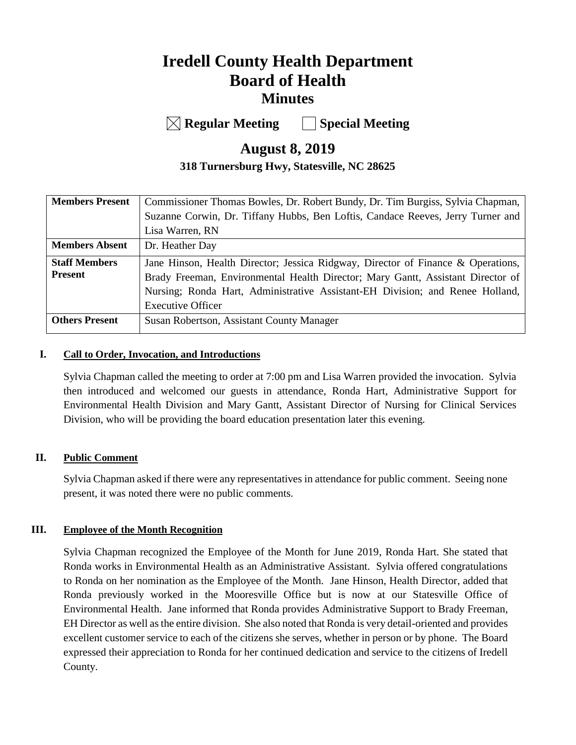# **Iredell County Health Department Board of Health Minutes**

**Regular Meeting Special Meeting**

# **August 8, 2019**

# **318 Turnersburg Hwy, Statesville, NC 28625**

| <b>Members Present</b> | Commissioner Thomas Bowles, Dr. Robert Bundy, Dr. Tim Burgiss, Sylvia Chapman,   |  |
|------------------------|----------------------------------------------------------------------------------|--|
|                        | Suzanne Corwin, Dr. Tiffany Hubbs, Ben Loftis, Candace Reeves, Jerry Turner and  |  |
|                        | Lisa Warren, RN                                                                  |  |
| <b>Members Absent</b>  | Dr. Heather Day                                                                  |  |
| <b>Staff Members</b>   | Jane Hinson, Health Director; Jessica Ridgway, Director of Finance & Operations, |  |
| <b>Present</b>         | Brady Freeman, Environmental Health Director; Mary Gantt, Assistant Director of  |  |
|                        | Nursing; Ronda Hart, Administrative Assistant-EH Division; and Renee Holland,    |  |
|                        | <b>Executive Officer</b>                                                         |  |
| <b>Others Present</b>  | Susan Robertson, Assistant County Manager                                        |  |
|                        |                                                                                  |  |

### **I. Call to Order, Invocation, and Introductions**

Sylvia Chapman called the meeting to order at 7:00 pm and Lisa Warren provided the invocation. Sylvia then introduced and welcomed our guests in attendance, Ronda Hart, Administrative Support for Environmental Health Division and Mary Gantt, Assistant Director of Nursing for Clinical Services Division, who will be providing the board education presentation later this evening.

# **II. Public Comment**

Sylvia Chapman asked if there were any representatives in attendance for public comment. Seeing none present, it was noted there were no public comments.

### **III. Employee of the Month Recognition**

Sylvia Chapman recognized the Employee of the Month for June 2019, Ronda Hart. She stated that Ronda works in Environmental Health as an Administrative Assistant. Sylvia offered congratulations to Ronda on her nomination as the Employee of the Month. Jane Hinson, Health Director, added that Ronda previously worked in the Mooresville Office but is now at our Statesville Office of Environmental Health. Jane informed that Ronda provides Administrative Support to Brady Freeman, EH Director as well as the entire division. She also noted that Ronda is very detail-oriented and provides excellent customer service to each of the citizens she serves, whether in person or by phone. The Board expressed their appreciation to Ronda for her continued dedication and service to the citizens of Iredell County.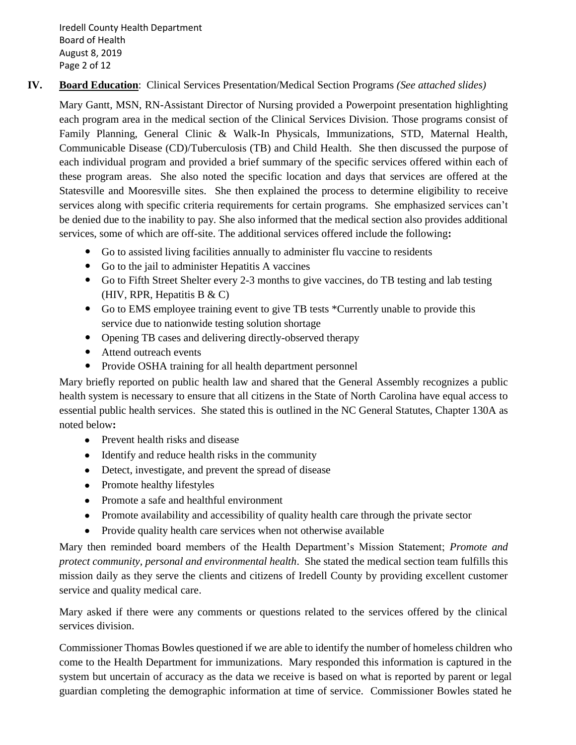Iredell County Health Department Board of Health August 8, 2019 Page 2 of 12

# **IV. Board Education**: Clinical Services Presentation/Medical Section Programs *(See attached slides)*

Mary Gantt, MSN, RN-Assistant Director of Nursing provided a Powerpoint presentation highlighting each program area in the medical section of the Clinical Services Division. Those programs consist of Family Planning, General Clinic & Walk-In Physicals, Immunizations, STD, Maternal Health, Communicable Disease (CD)/Tuberculosis (TB) and Child Health. She then discussed the purpose of each individual program and provided a brief summary of the specific services offered within each of these program areas. She also noted the specific location and days that services are offered at the Statesville and Mooresville sites. She then explained the process to determine eligibility to receive services along with specific criteria requirements for certain programs. She emphasized services can't be denied due to the inability to pay. She also informed that the medical section also provides additional services, some of which are off-site. The additional services offered include the following**:**

- Go to assisted living facilities annually to administer flu vaccine to residents
- Go to the jail to administer Hepatitis A vaccines
- Go to Fifth Street Shelter every 2-3 months to give vaccines, do TB testing and lab testing (HIV, RPR, Hepatitis B & C)
- Go to EMS employee training event to give TB tests \*Currently unable to provide this service due to nationwide testing solution shortage
- Opening TB cases and delivering directly-observed therapy
- Attend outreach events
- Provide OSHA training for all health department personnel

Mary briefly reported on public health law and shared that the General Assembly recognizes a public health system is necessary to ensure that all citizens in the State of North Carolina have equal access to essential public health services. She stated this is outlined in the NC General Statutes, Chapter 130A as noted below**:**

- Prevent health risks and disease
- Identify and reduce health risks in the community
- Detect, investigate, and prevent the spread of disease
- Promote healthy lifestyles
- Promote a safe and healthful environment
- Promote availability and accessibility of quality health care through the private sector
- Provide quality health care services when not otherwise available

Mary then reminded board members of the Health Department's Mission Statement; *Promote and protect community, personal and environmental health*. She stated the medical section team fulfills this mission daily as they serve the clients and citizens of Iredell County by providing excellent customer service and quality medical care.

Mary asked if there were any comments or questions related to the services offered by the clinical services division.

Commissioner Thomas Bowles questioned if we are able to identify the number of homeless children who come to the Health Department for immunizations. Mary responded this information is captured in the system but uncertain of accuracy as the data we receive is based on what is reported by parent or legal guardian completing the demographic information at time of service. Commissioner Bowles stated he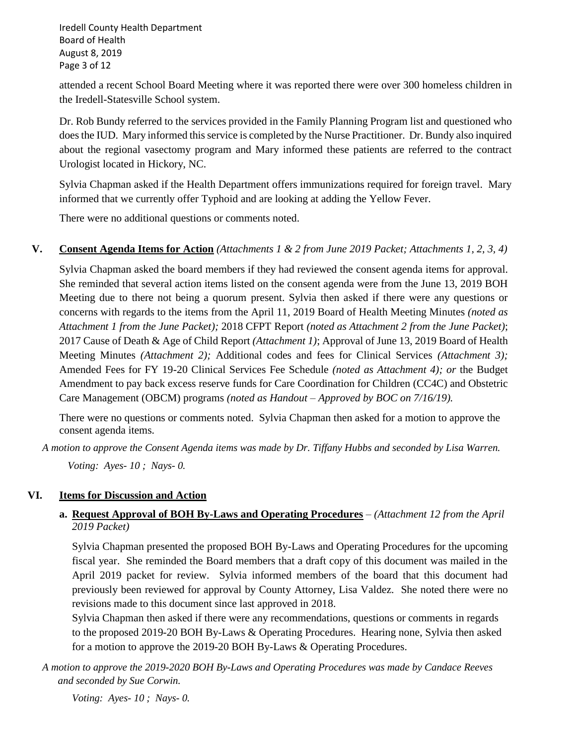Iredell County Health Department Board of Health August 8, 2019 Page 3 of 12

attended a recent School Board Meeting where it was reported there were over 300 homeless children in the Iredell-Statesville School system.

Dr. Rob Bundy referred to the services provided in the Family Planning Program list and questioned who does the IUD. Mary informed this service is completed by the Nurse Practitioner. Dr. Bundy also inquired about the regional vasectomy program and Mary informed these patients are referred to the contract Urologist located in Hickory, NC.

Sylvia Chapman asked if the Health Department offers immunizations required for foreign travel. Mary informed that we currently offer Typhoid and are looking at adding the Yellow Fever.

There were no additional questions or comments noted.

**V. Consent Agenda Items for Action** *(Attachments 1 & 2 from June 2019 Packet; Attachments 1, 2, 3, 4)*

Sylvia Chapman asked the board members if they had reviewed the consent agenda items for approval. She reminded that several action items listed on the consent agenda were from the June 13, 2019 BOH Meeting due to there not being a quorum present. Sylvia then asked if there were any questions or concerns with regards to the items from the April 11, 2019 Board of Health Meeting Minutes *(noted as Attachment 1 from the June Packet);* 2018 CFPT Report *(noted as Attachment 2 from the June Packet)*; 2017 Cause of Death & Age of Child Report *(Attachment 1)*; Approval of June 13, 2019 Board of Health Meeting Minutes *(Attachment 2);* Additional codes and fees for Clinical Services *(Attachment 3);* Amended Fees for FY 19-20 Clinical Services Fee Schedule *(noted as Attachment 4); or* the Budget Amendment to pay back excess reserve funds for Care Coordination for Children (CC4C) and Obstetric Care Management (OBCM) programs *(noted as Handout – Approved by BOC on 7/16/19).*

There were no questions or comments noted. Sylvia Chapman then asked for a motion to approve the consent agenda items.

*A motion to approve the Consent Agenda items was made by Dr. Tiffany Hubbs and seconded by Lisa Warren. Voting: Ayes- 10 ; Nays- 0.*

# **VI. Items for Discussion and Action**

### **a. Request Approval of BOH By-Laws and Operating Procedures** *– (Attachment 12 from the April 2019 Packet)*

Sylvia Chapman presented the proposed BOH By-Laws and Operating Procedures for the upcoming fiscal year. She reminded the Board members that a draft copy of this document was mailed in the April 2019 packet for review. Sylvia informed members of the board that this document had previously been reviewed for approval by County Attorney, Lisa Valdez. She noted there were no revisions made to this document since last approved in 2018.

Sylvia Chapman then asked if there were any recommendations, questions or comments in regards to the proposed 2019-20 BOH By-Laws & Operating Procedures. Hearing none, Sylvia then asked for a motion to approve the 2019-20 BOH By-Laws & Operating Procedures.

*A motion to approve the 2019-2020 BOH By-Laws and Operating Procedures was made by Candace Reeves and seconded by Sue Corwin.* 

*Voting: Ayes- 10 ; Nays- 0.*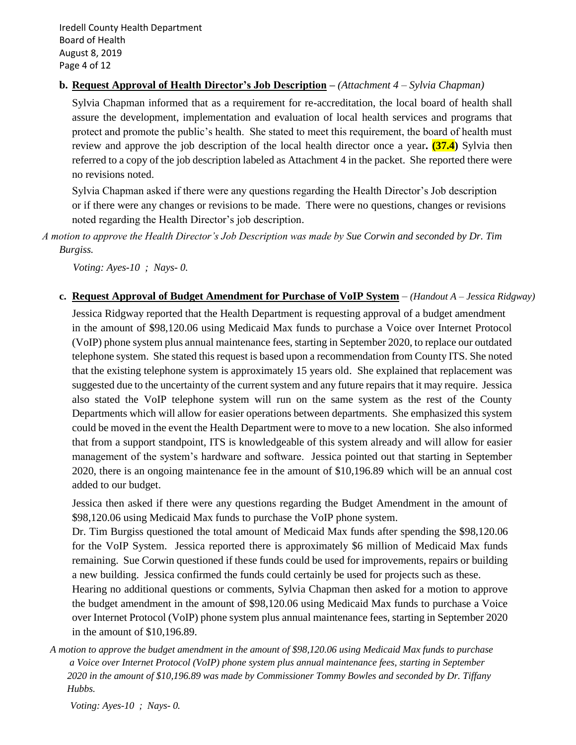Iredell County Health Department Board of Health August 8, 2019 Page 4 of 12

### **b. Request Approval of Health Director's Job Description –** *(Attachment 4 – Sylvia Chapman)*

Sylvia Chapman informed that as a requirement for re-accreditation, the local board of health shall assure the development, implementation and evaluation of local health services and programs that protect and promote the public's health. She stated to meet this requirement, the board of health must review and approve the job description of the local health director once a year**. (37.4)** Sylvia then referred to a copy of the job description labeled as Attachment 4 in the packet. She reported there were no revisions noted.

Sylvia Chapman asked if there were any questions regarding the Health Director's Job description or if there were any changes or revisions to be made. There were no questions, changes or revisions noted regarding the Health Director's job description.

*A motion to approve the Health Director's Job Description was made by Sue Corwin and seconded by Dr. Tim Burgiss.*

 *Voting: Ayes-10 ; Nays- 0.* 

**c. Request Approval of Budget Amendment for Purchase of VoIP System** – *(Handout A – Jessica Ridgway)* Jessica Ridgway reported that the Health Department is requesting approval of a budget amendment

in the amount of \$98,120.06 using Medicaid Max funds to purchase a Voice over Internet Protocol (VoIP) phone system plus annual maintenance fees, starting in September 2020, to replace our outdated telephone system. She stated this request is based upon a recommendation from County ITS. She noted that the existing telephone system is approximately 15 years old. She explained that replacement was suggested due to the uncertainty of the current system and any future repairs that it may require. Jessica also stated the VoIP telephone system will run on the same system as the rest of the County Departments which will allow for easier operations between departments. She emphasized this system could be moved in the event the Health Department were to move to a new location. She also informed that from a support standpoint, ITS is knowledgeable of this system already and will allow for easier management of the system's hardware and software. Jessica pointed out that starting in September 2020, there is an ongoing maintenance fee in the amount of \$10,196.89 which will be an annual cost added to our budget.

Jessica then asked if there were any questions regarding the Budget Amendment in the amount of \$98,120.06 using Medicaid Max funds to purchase the VoIP phone system.

Dr. Tim Burgiss questioned the total amount of Medicaid Max funds after spending the \$98,120.06 for the VoIP System. Jessica reported there is approximately \$6 million of Medicaid Max funds remaining. Sue Corwin questioned if these funds could be used for improvements, repairs or building a new building. Jessica confirmed the funds could certainly be used for projects such as these.

Hearing no additional questions or comments, Sylvia Chapman then asked for a motion to approve the budget amendment in the amount of \$98,120.06 using Medicaid Max funds to purchase a Voice over Internet Protocol (VoIP) phone system plus annual maintenance fees, starting in September 2020 in the amount of \$10,196.89.

 *A motion to approve the budget amendment in the amount of \$98,120.06 using Medicaid Max funds to purchase a Voice over Internet Protocol (VoIP) phone system plus annual maintenance fees, starting in September 2020 in the amount of \$10,196.89 was made by Commissioner Tommy Bowles and seconded by Dr. Tiffany Hubbs.* 

*Voting: Ayes-10 ; Nays- 0.*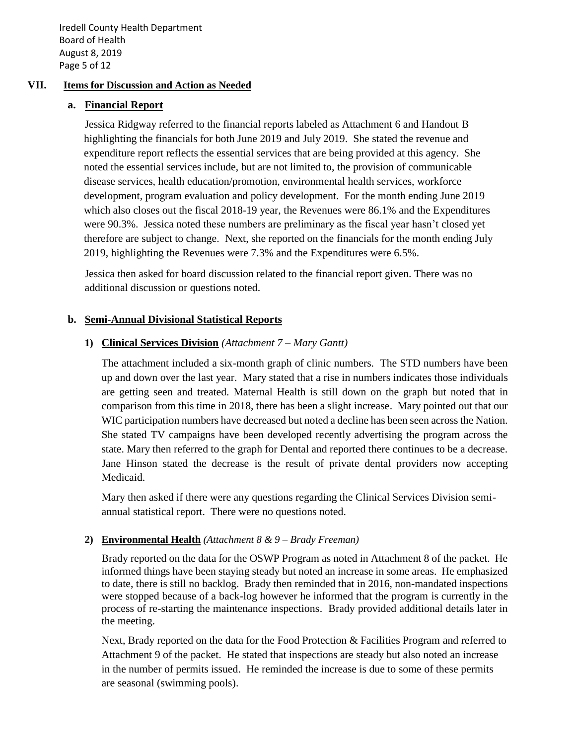Iredell County Health Department Board of Health August 8, 2019 Page 5 of 12

### **VII. Items for Discussion and Action as Needed**

#### **a. Financial Report**

Jessica Ridgway referred to the financial reports labeled as Attachment 6 and Handout B highlighting the financials for both June 2019 and July 2019. She stated the revenue and expenditure report reflects the essential services that are being provided at this agency. She noted the essential services include, but are not limited to, the provision of communicable disease services, health education/promotion, environmental health services, workforce development, program evaluation and policy development. For the month ending June 2019 which also closes out the fiscal 2018-19 year, the Revenues were 86.1% and the Expenditures were 90.3%. Jessica noted these numbers are preliminary as the fiscal year hasn't closed yet therefore are subject to change. Next, she reported on the financials for the month ending July 2019, highlighting the Revenues were 7.3% and the Expenditures were 6.5%.

Jessica then asked for board discussion related to the financial report given. There was no additional discussion or questions noted.

#### **b. Semi-Annual Divisional Statistical Reports**

### **1) Clinical Services Division** *(Attachment 7 – Mary Gantt)*

The attachment included a six-month graph of clinic numbers. The STD numbers have been up and down over the last year. Mary stated that a rise in numbers indicates those individuals are getting seen and treated. Maternal Health is still down on the graph but noted that in comparison from this time in 2018, there has been a slight increase. Mary pointed out that our WIC participation numbers have decreased but noted a decline has been seen across the Nation. She stated TV campaigns have been developed recently advertising the program across the state. Mary then referred to the graph for Dental and reported there continues to be a decrease. Jane Hinson stated the decrease is the result of private dental providers now accepting Medicaid.

Mary then asked if there were any questions regarding the Clinical Services Division semiannual statistical report. There were no questions noted.

### **2) Environmental Health** *(Attachment 8 & 9 – Brady Freeman)*

Brady reported on the data for the OSWP Program as noted in Attachment 8 of the packet. He informed things have been staying steady but noted an increase in some areas. He emphasized to date, there is still no backlog. Brady then reminded that in 2016, non-mandated inspections were stopped because of a back-log however he informed that the program is currently in the process of re-starting the maintenance inspections. Brady provided additional details later in the meeting.

Next, Brady reported on the data for the Food Protection & Facilities Program and referred to Attachment 9 of the packet. He stated that inspections are steady but also noted an increase in the number of permits issued. He reminded the increase is due to some of these permits are seasonal (swimming pools).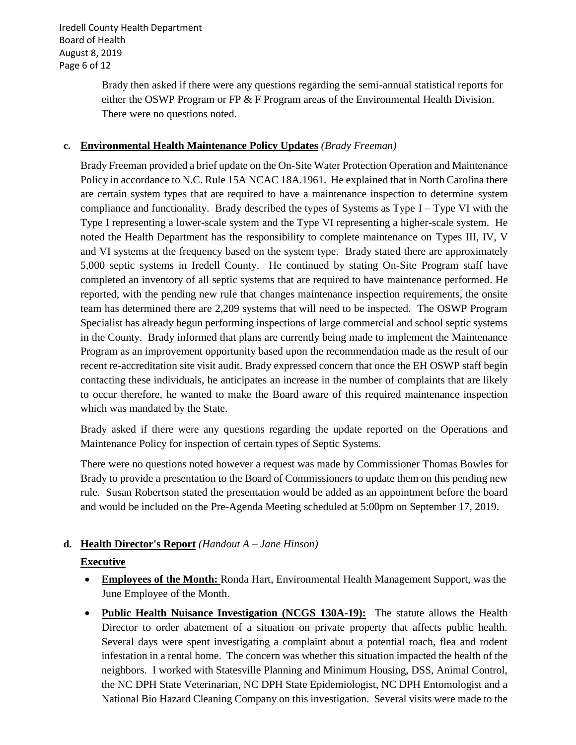Iredell County Health Department Board of Health August 8, 2019 Page 6 of 12

> Brady then asked if there were any questions regarding the semi-annual statistical reports for either the OSWP Program or FP  $&$  F Program areas of the Environmental Health Division. There were no questions noted.

### **c. Environmental Health Maintenance Policy Updates** *(Brady Freeman)*

Brady Freeman provided a brief update on the On-Site Water Protection Operation and Maintenance Policy in accordance to N.C. Rule 15A NCAC 18A.1961. He explained that in North Carolina there are certain system types that are required to have a maintenance inspection to determine system compliance and functionality. Brady described the types of Systems as Type  $I - Type VI$  with the Type I representing a lower-scale system and the Type VI representing a higher-scale system. He noted the Health Department has the responsibility to complete maintenance on Types III, IV, V and VI systems at the frequency based on the system type. Brady stated there are approximately 5,000 septic systems in Iredell County. He continued by stating On-Site Program staff have completed an inventory of all septic systems that are required to have maintenance performed. He reported, with the pending new rule that changes maintenance inspection requirements, the onsite team has determined there are 2,209 systems that will need to be inspected. The OSWP Program Specialist has already begun performing inspections of large commercial and school septic systems in the County. Brady informed that plans are currently being made to implement the Maintenance Program as an improvement opportunity based upon the recommendation made as the result of our recent re-accreditation site visit audit. Brady expressed concern that once the EH OSWP staff begin contacting these individuals, he anticipates an increase in the number of complaints that are likely to occur therefore, he wanted to make the Board aware of this required maintenance inspection which was mandated by the State.

Brady asked if there were any questions regarding the update reported on the Operations and Maintenance Policy for inspection of certain types of Septic Systems.

There were no questions noted however a request was made by Commissioner Thomas Bowles for Brady to provide a presentation to the Board of Commissioners to update them on this pending new rule. Susan Robertson stated the presentation would be added as an appointment before the board and would be included on the Pre-Agenda Meeting scheduled at 5:00pm on September 17, 2019.

# **d. Health Director's Report** *(Handout A – Jane Hinson)*

# **Executive**

- **Employees of the Month:** Ronda Hart, Environmental Health Management Support, was the June Employee of the Month.
- **Public Health Nuisance Investigation (NCGS 130A-19):** The statute allows the Health Director to order abatement of a situation on private property that affects public health. Several days were spent investigating a complaint about a potential roach, flea and rodent infestation in a rental home. The concern was whether this situation impacted the health of the neighbors. I worked with Statesville Planning and Minimum Housing, DSS, Animal Control, the NC DPH State Veterinarian, NC DPH State Epidemiologist, NC DPH Entomologist and a National Bio Hazard Cleaning Company on this investigation. Several visits were made to the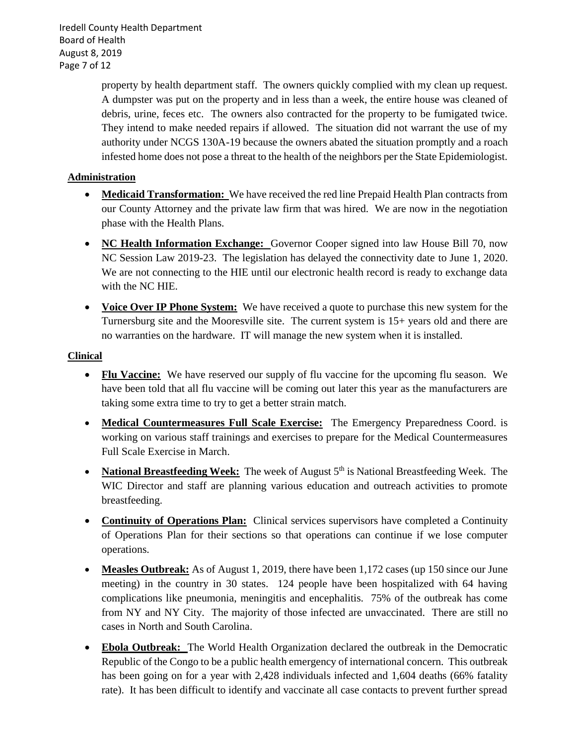Iredell County Health Department Board of Health August 8, 2019 Page 7 of 12

> property by health department staff. The owners quickly complied with my clean up request. A dumpster was put on the property and in less than a week, the entire house was cleaned of debris, urine, feces etc. The owners also contracted for the property to be fumigated twice. They intend to make needed repairs if allowed. The situation did not warrant the use of my authority under NCGS 130A-19 because the owners abated the situation promptly and a roach infested home does not pose a threat to the health of the neighbors per the State Epidemiologist.

### **Administration**

- **Medicaid Transformation:** We have received the red line Prepaid Health Plan contracts from our County Attorney and the private law firm that was hired. We are now in the negotiation phase with the Health Plans.
- **NC Health Information Exchange:** Governor Cooper signed into law House Bill 70, now NC Session Law 2019-23. The legislation has delayed the connectivity date to June 1, 2020. We are not connecting to the HIE until our electronic health record is ready to exchange data with the NC HIE.
- **Voice Over IP Phone System:** We have received a quote to purchase this new system for the Turnersburg site and the Mooresville site. The current system is 15+ years old and there are no warranties on the hardware. IT will manage the new system when it is installed.

### **Clinical**

- **Flu Vaccine:** We have reserved our supply of flu vaccine for the upcoming flu season. We have been told that all flu vaccine will be coming out later this year as the manufacturers are taking some extra time to try to get a better strain match.
- **Medical Countermeasures Full Scale Exercise:** The Emergency Preparedness Coord. is working on various staff trainings and exercises to prepare for the Medical Countermeasures Full Scale Exercise in March.
- **National Breastfeeding Week:** The week of August 5<sup>th</sup> is National Breastfeeding Week. The WIC Director and staff are planning various education and outreach activities to promote breastfeeding.
- **Continuity of Operations Plan:** Clinical services supervisors have completed a Continuity of Operations Plan for their sections so that operations can continue if we lose computer operations.
- **Measles Outbreak:** As of August 1, 2019, there have been 1,172 cases (up 150 since our June meeting) in the country in 30 states. 124 people have been hospitalized with 64 having complications like pneumonia, meningitis and encephalitis. 75% of the outbreak has come from NY and NY City. The majority of those infected are unvaccinated. There are still no cases in North and South Carolina.
- **Ebola Outbreak:** The World Health Organization declared the outbreak in the Democratic Republic of the Congo to be a public health emergency of international concern. This outbreak has been going on for a year with 2,428 individuals infected and 1,604 deaths (66% fatality rate). It has been difficult to identify and vaccinate all case contacts to prevent further spread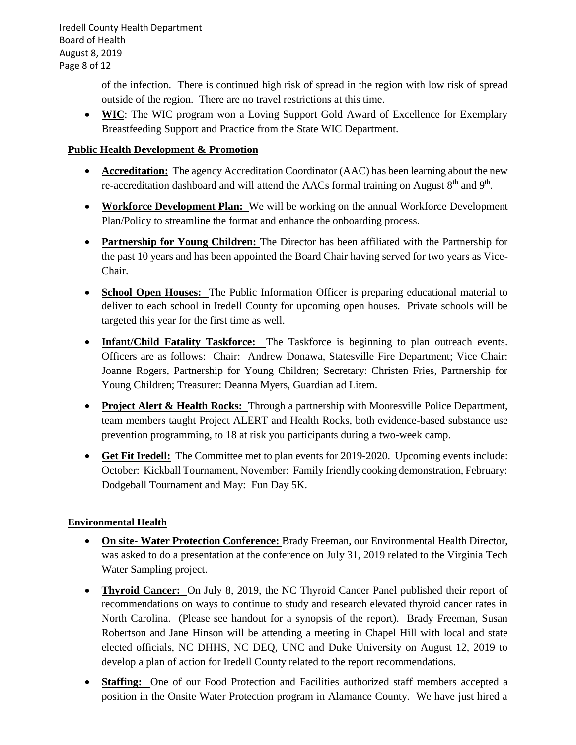Iredell County Health Department Board of Health August 8, 2019 Page 8 of 12

> of the infection. There is continued high risk of spread in the region with low risk of spread outside of the region. There are no travel restrictions at this time.

• **WIC**: The WIC program won a Loving Support Gold Award of Excellence for Exemplary Breastfeeding Support and Practice from the State WIC Department.

### **Public Health Development & Promotion**

- **Accreditation:** The agency Accreditation Coordinator (AAC) has been learning about the new re-accreditation dashboard and will attend the AACs formal training on August  $8<sup>th</sup>$  and  $9<sup>th</sup>$ .
- **Workforce Development Plan:** We will be working on the annual Workforce Development Plan/Policy to streamline the format and enhance the onboarding process.
- **Partnership for Young Children:** The Director has been affiliated with the Partnership for the past 10 years and has been appointed the Board Chair having served for two years as Vice-Chair.
- **School Open Houses:** The Public Information Officer is preparing educational material to deliver to each school in Iredell County for upcoming open houses. Private schools will be targeted this year for the first time as well.
- **Infant/Child Fatality Taskforce:** The Taskforce is beginning to plan outreach events. Officers are as follows: Chair: Andrew Donawa, Statesville Fire Department; Vice Chair: Joanne Rogers, Partnership for Young Children; Secretary: Christen Fries, Partnership for Young Children; Treasurer: Deanna Myers, Guardian ad Litem.
- **Project Alert & Health Rocks:** Through a partnership with Mooresville Police Department, team members taught Project ALERT and Health Rocks, both evidence-based substance use prevention programming, to 18 at risk you participants during a two-week camp.
- **Get Fit Iredell:** The Committee met to plan events for 2019-2020. Upcoming events include: October: Kickball Tournament, November: Family friendly cooking demonstration, February: Dodgeball Tournament and May: Fun Day 5K.

# **Environmental Health**

- **On site- Water Protection Conference:** Brady Freeman, our Environmental Health Director, was asked to do a presentation at the conference on July 31, 2019 related to the Virginia Tech Water Sampling project.
- **Thyroid Cancer:** On July 8, 2019, the NC Thyroid Cancer Panel published their report of recommendations on ways to continue to study and research elevated thyroid cancer rates in North Carolina. (Please see handout for a synopsis of the report). Brady Freeman, Susan Robertson and Jane Hinson will be attending a meeting in Chapel Hill with local and state elected officials, NC DHHS, NC DEQ, UNC and Duke University on August 12, 2019 to develop a plan of action for Iredell County related to the report recommendations.
- **Staffing:** One of our Food Protection and Facilities authorized staff members accepted a position in the Onsite Water Protection program in Alamance County. We have just hired a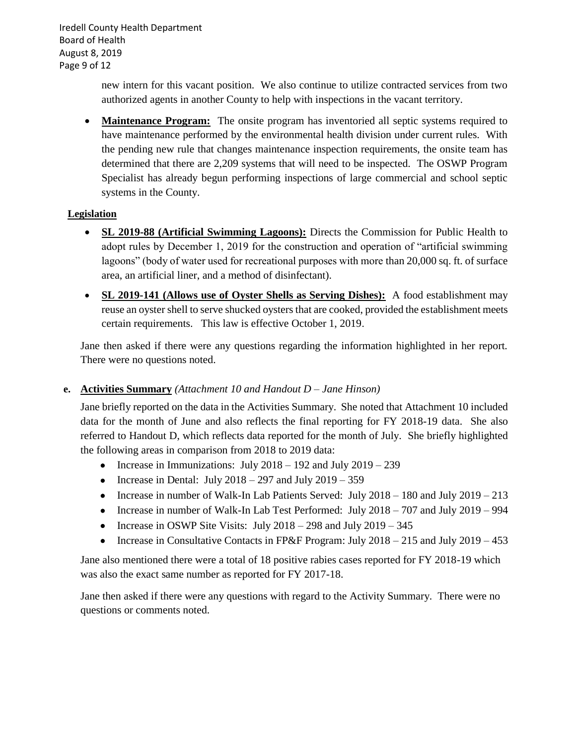Iredell County Health Department Board of Health August 8, 2019 Page 9 of 12

> new intern for this vacant position. We also continue to utilize contracted services from two authorized agents in another County to help with inspections in the vacant territory.

• **Maintenance Program:** The onsite program has inventoried all septic systems required to have maintenance performed by the environmental health division under current rules. With the pending new rule that changes maintenance inspection requirements, the onsite team has determined that there are 2,209 systems that will need to be inspected. The OSWP Program Specialist has already begun performing inspections of large commercial and school septic systems in the County.

### **Legislation**

- **SL 2019-88 (Artificial Swimming Lagoons):** Directs the Commission for Public Health to adopt rules by December 1, 2019 for the construction and operation of "artificial swimming lagoons" (body of water used for recreational purposes with more than 20,000 sq. ft. of surface area, an artificial liner, and a method of disinfectant).
- **SL 2019-141 (Allows use of Oyster Shells as Serving Dishes):** A food establishment may reuse an oyster shell to serve shucked oysters that are cooked, provided the establishment meets certain requirements. This law is effective October 1, 2019.

Jane then asked if there were any questions regarding the information highlighted in her report. There were no questions noted.

# **e. Activities Summary** *(Attachment 10 and Handout D – Jane Hinson)*

Jane briefly reported on the data in the Activities Summary. She noted that Attachment 10 included data for the month of June and also reflects the final reporting for FY 2018-19 data. She also referred to Handout D, which reflects data reported for the month of July. She briefly highlighted the following areas in comparison from 2018 to 2019 data:

- Increase in Immunizations: July  $2018 192$  and July  $2019 239$
- Increase in Dental: July  $2018 297$  and July  $2019 359$
- Increase in number of Walk-In Lab Patients Served: July 2018 180 and July 2019 213
- Increase in number of Walk-In Lab Test Performed: July 2018 707 and July 2019 994
- Increase in OSWP Site Visits: July  $2018 298$  and July  $2019 345$
- Increase in Consultative Contacts in FP&F Program: July 2018 215 and July 2019 453

Jane also mentioned there were a total of 18 positive rabies cases reported for FY 2018-19 which was also the exact same number as reported for FY 2017-18.

Jane then asked if there were any questions with regard to the Activity Summary. There were no questions or comments noted.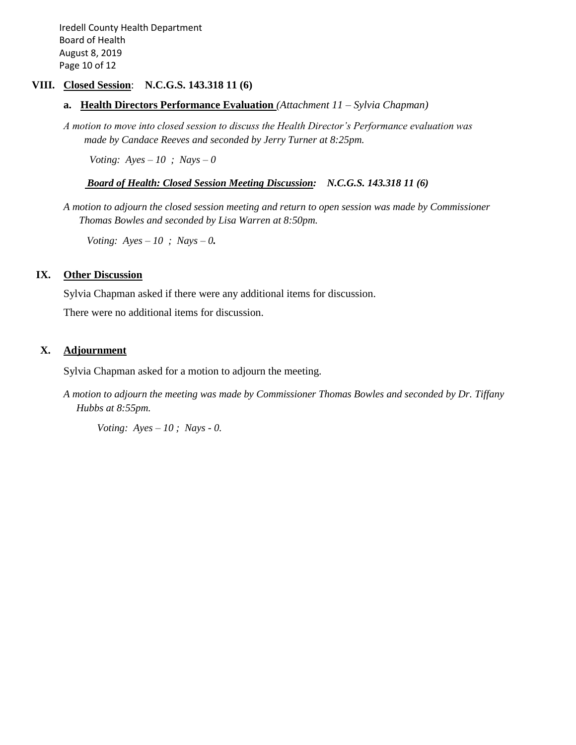Iredell County Health Department Board of Health August 8, 2019 Page 10 of 12

### **VIII. Closed Session**: **N.C.G.S. 143.318 11 (6)**

- **a. Health Directors Performance Evaluation** *(Attachment 11 – Sylvia Chapman)*
- *A motion to move into closed session to discuss the Health Director's Performance evaluation was made by Candace Reeves and seconded by Jerry Turner at 8:25pm.*

*Voting: Ayes – 10 ; Nays – 0*

#### *Board of Health: Closed Session Meeting Discussion: N.C.G.S. 143.318 11 (6)*

*A motion to adjourn the closed session meeting and return to open session was made by Commissioner Thomas Bowles and seconded by Lisa Warren at 8:50pm.*

 *Voting: Ayes – 10 ; Nays – 0.*

#### **IX. Other Discussion**

Sylvia Chapman asked if there were any additional items for discussion.

There were no additional items for discussion.

### **X. Adjournment**

Sylvia Chapman asked for a motion to adjourn the meeting.

*A motion to adjourn the meeting was made by Commissioner Thomas Bowles and seconded by Dr. Tiffany Hubbs at 8:55pm.*

 *Voting: Ayes – 10 ; Nays - 0.*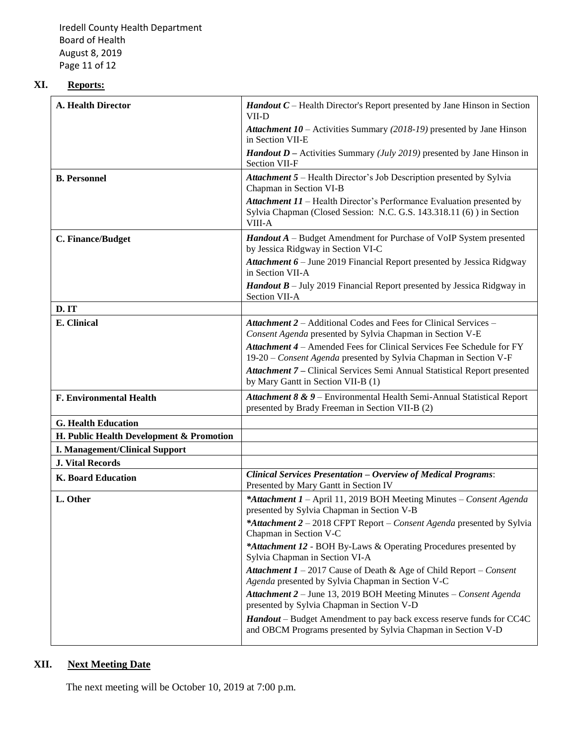Iredell County Health Department Board of Health August 8, 2019 Page 11 of 12

# **XI. Reports:**

| A. Health Director                       | <b>Handout C</b> – Health Director's Report presented by Jane Hinson in Section<br>VII-D                                                                 |
|------------------------------------------|----------------------------------------------------------------------------------------------------------------------------------------------------------|
|                                          | <b>Attachment 10</b> – Activities Summary (2018-19) presented by Jane Hinson<br>in Section VII-E                                                         |
|                                          | <b>Handout D</b> – Activities Summary ( <i>July 2019</i> ) presented by Jane Hinson in<br>Section VII-F                                                  |
| <b>B.</b> Personnel                      | <b>Attachment 5</b> – Health Director's Job Description presented by Sylvia<br>Chapman in Section VI-B                                                   |
|                                          | Attachment 11 - Health Director's Performance Evaluation presented by<br>Sylvia Chapman (Closed Session: N.C. G.S. 143.318.11 (6) ) in Section<br>VIII-A |
| C. Finance/Budget                        | <b>Handout A</b> – Budget Amendment for Purchase of VoIP System presented<br>by Jessica Ridgway in Section VI-C                                          |
|                                          | Attachment 6 - June 2019 Financial Report presented by Jessica Ridgway<br>in Section VII-A                                                               |
|                                          | <b>Handout B</b> – July 2019 Financial Report presented by Jessica Ridgway in<br>Section VII-A                                                           |
| D.IT                                     |                                                                                                                                                          |
| E. Clinical                              | Attachment 2 - Additional Codes and Fees for Clinical Services -<br>Consent Agenda presented by Sylvia Chapman in Section V-E                            |
|                                          | Attachment 4 - Amended Fees for Clinical Services Fee Schedule for FY<br>19-20 – Consent Agenda presented by Sylvia Chapman in Section V-F               |
|                                          | Attachment 7 - Clinical Services Semi Annual Statistical Report presented<br>by Mary Gantt in Section VII-B (1)                                          |
| <b>F. Environmental Health</b>           | Attachment 8 & 9 - Environmental Health Semi-Annual Statistical Report<br>presented by Brady Freeman in Section VII-B (2)                                |
| <b>G. Health Education</b>               |                                                                                                                                                          |
| H. Public Health Development & Promotion |                                                                                                                                                          |
| <b>I. Management/Clinical Support</b>    |                                                                                                                                                          |
| <b>J. Vital Records</b>                  |                                                                                                                                                          |
| <b>K. Board Education</b>                | <b>Clinical Services Presentation - Overview of Medical Programs:</b><br>Presented by Mary Gantt in Section IV                                           |
| L. Other                                 | *Attachment 1 - April 11, 2019 BOH Meeting Minutes - Consent Agenda<br>presented by Sylvia Chapman in Section V-B                                        |
|                                          | *Attachment 2 - 2018 CFPT Report - Consent Agenda presented by Sylvia<br>Chapman in Section V-C                                                          |
|                                          | *Attachment 12 - BOH By-Laws & Operating Procedures presented by<br>Sylvia Chapman in Section VI-A                                                       |
|                                          | Attachment $1 - 2017$ Cause of Death & Age of Child Report – Consent<br>Agenda presented by Sylvia Chapman in Section V-C                                |
|                                          | Attachment 2 - June 13, 2019 BOH Meeting Minutes - Consent Agenda<br>presented by Sylvia Chapman in Section V-D                                          |
|                                          | Handout - Budget Amendment to pay back excess reserve funds for CC4C<br>and OBCM Programs presented by Sylvia Chapman in Section V-D                     |

# **XII. Next Meeting Date**

The next meeting will be October 10, 2019 at 7:00 p.m.